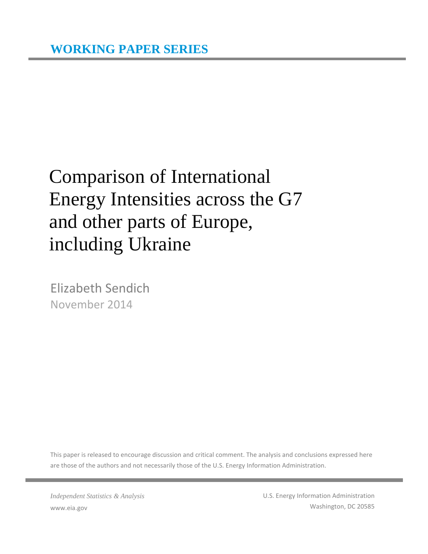# Comparison of International Energy Intensities across the G7 and other parts of Europe, including Ukraine

Elizabeth Sendich November 2014

This paper is released to encourage discussion and critical comment. The analysis and conclusions expressed here are those of the authors and not necessarily those of the U.S. Energy Information Administration.

*Independent Statistics & Analysis* www.eia.gov

U.S. Energy Information Administration Washington, DC 20585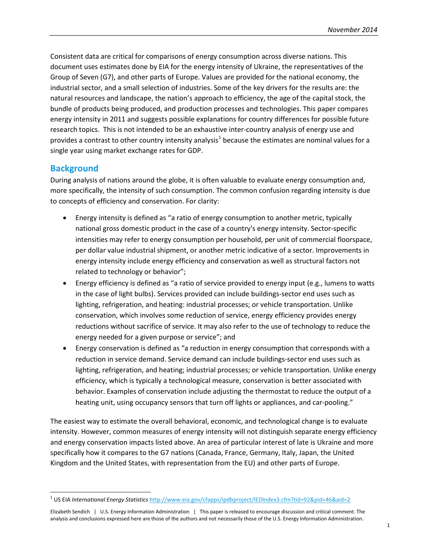Consistent data are critical for comparisons of energy consumption across diverse nations. This document uses estimates done by EIA for the energy intensity of Ukraine, the representatives of the Group of Seven (G7), and other parts of Europe. Values are provided for the national economy, the industrial sector, and a small selection of industries. Some of the key drivers for the results are: the natural resources and landscape, the nation's approach to efficiency, the age of the capital stock, the bundle of products being produced, and production processes and technologies. This paper compares energy intensity in 2011 and suggests possible explanations for country differences for possible future research topics. This is not intended to be an exhaustive inter-country analysis of energy use and provides a contrast to other country intensity analysis<sup>[1](#page-1-0)</sup> because the estimates are nominal values for a single year using market exchange rates for GDP.

## **Background**

 $\overline{\phantom{a}}$ 

During analysis of nations around the globe, it is often valuable to evaluate energy consumption and, more specifically, the intensity of such consumption. The common confusion regarding intensity is due to concepts of efficiency and conservation. For clarity:

- Energy intensity is defined as "a ratio of energy consumption to another metric, typically national gross domestic product in the case of a country's energy intensity. Sector-specific intensities may refer to energy consumption per household, per unit of commercial floorspace, per dollar value industrial shipment, or another metric indicative of a sector. Improvements in energy intensity include energy efficiency and conservation as well as structural factors not related to technology or behavior";
- Energy efficiency is defined as "a ratio of service provided to energy input (e.g., lumens to watts in the case of light bulbs). Services provided can include buildings-sector end uses such as lighting, refrigeration, and heating: industrial processes; or vehicle transportation. Unlike conservation, which involves some reduction of service, energy efficiency provides energy reductions without sacrifice of service. It may also refer to the use of technology to reduce the energy needed for a given purpose or service"; and
- Energy conservation is defined as "a reduction in energy consumption that corresponds with a reduction in service demand. Service demand can include buildings-sector end uses such as lighting, refrigeration, and heating; industrial processes; or vehicle transportation. Unlike energy efficiency, which is typically a technological measure, conservation is better associated with behavior. Examples of conservation include adjusting the thermostat to reduce the output of a heating unit, using occupancy sensors that turn off lights or appliances, and car-pooling."

The easiest way to estimate the overall behavioral, economic, and technological change is to evaluate intensity. However, common measures of energy intensity will not distinguish separate energy efficiency and energy conservation impacts listed above. An area of particular interest of late is Ukraine and more specifically how it compares to the G7 nations (Canada, France, Germany, Italy, Japan, the United Kingdom and the United States, with representation from the EU) and other parts of Europe.

<span id="page-1-0"></span><sup>1</sup> US EIA *International Energy Statistics* <http://www.eia.gov/cfapps/ipdbproject/IEDIndex3.cfm?tid=92&pid=46&aid=2>

Elizabeth Sendich | U.S. Energy Information Administration | This paper is released to encourage discussion and critical comment. The analysis and conclusions expressed here are those of the authors and not necessarily those of the U.S. Energy Information Administration.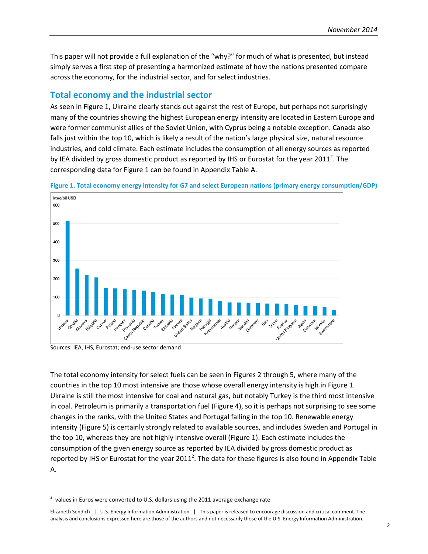This paper will not provide a full explanation of the "why?" for much of what is presented, but instead simply serves a first step of presenting a harmonized estimate of how the nations presented compare across the economy, for the industrial sector, and for select industries.

# **Total economy and the industrial sector**

As seen in Figure 1, Ukraine clearly stands out against the rest of Europe, but perhaps not surprisingly many of the countries showing the highest European energy intensity are located in Eastern Europe and were former communist allies of the Soviet Union, with Cyprus being a notable exception. Canada also falls just within the top 10, which is likely a result of the nation's large physical size, natural resource industries, and cold climate. Each estimate includes the consumption of all energy sources as reported by IEA divided by gross domestic product as reported by IHS or Eurostat for the year [2](#page-2-0)011<sup>2</sup>. The corresponding data for Figure 1 can be found in Appendix Table A.





Sources: IEA, IHS, Eurostat; end-use sector demand

 $\overline{\phantom{a}}$ 

The total economy intensity for select fuels can be seen in Figures 2 through 5, where many of the countries in the top 10 most intensive are those whose overall energy intensity is high in Figure 1. Ukraine is still the most intensive for coal and natural gas, but notably Turkey is the third most intensive in coal. Petroleum is primarily a transportation fuel (Figure 4), so it is perhaps not surprising to see some changes in the ranks, with the United States and Portugal falling in the top 10. Renewable energy intensity (Figure 5) is certainly strongly related to available sources, and includes Sweden and Portugal in the top 10, whereas they are not highly intensive overall (Figure 1). Each estimate includes the consumption of the given energy source as reported by IEA divided by gross domestic product as reported by IHS or Eurostat for the year 2011<sup>2</sup>. The data for these figures is also found in Appendix Table A.

<span id="page-2-0"></span> $^{2}$  values in Euros were converted to U.S. dollars using the 2011 average exchange rate

Elizabeth Sendich | U.S. Energy Information Administration | This paper is released to encourage discussion and critical comment. The analysis and conclusions expressed here are those of the authors and not necessarily those of the U.S. Energy Information Administration.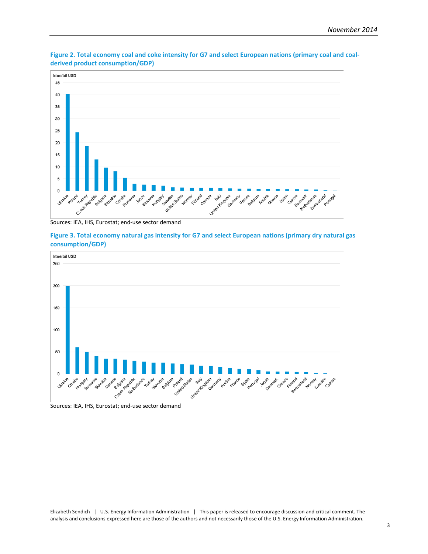

**Figure 2. Total economy coal and coke intensity for G7 and select European nations (primary coal and coalderived product consumption/GDP)**

Sources: IEA, IHS, Eurostat; end-use sector demand

**Figure 3. Total economy natural gas intensity for G7 and select European nations (primary dry natural gas consumption/GDP)**



Sources: IEA, IHS, Eurostat; end-use sector demand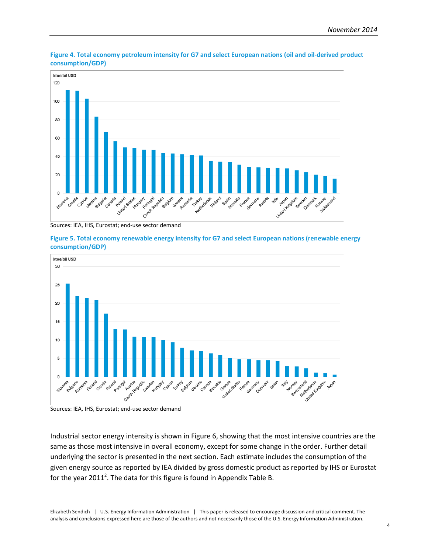

**Figure 4. Total economy petroleum intensity for G7 and select European nations (oil and oil-derived product consumption/GDP)**

Sources: IEA, IHS, Eurostat; end-use sector demand





Sources: IEA, IHS, Eurostat; end-use sector demand

Industrial sector energy intensity is shown in Figure 6, showing that the most intensive countries are the same as those most intensive in overall economy, except for some change in the order. Further detail underlying the sector is presented in the next section. Each estimate includes the consumption of the given energy source as reported by IEA divided by gross domestic product as reported by IHS or Eurostat for the year 2011<sup>2</sup>. The data for this figure is found in Appendix Table B.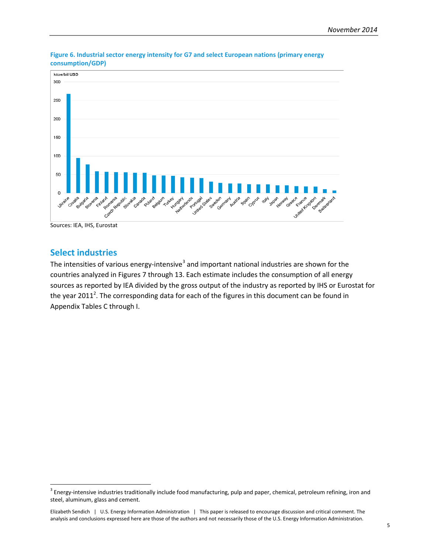

**Figure 6. Industrial sector energy intensity for G7 and select European nations (primary energy consumption/GDP)**

Sources: IEA, IHS, Eurostat

# **Select industries**

l

The intensities of various energy-intensive<sup>[3](#page-5-0)</sup> and important national industries are shown for the countries analyzed in Figures 7 through 13. Each estimate includes the consumption of all energy sources as reported by IEA divided by the gross output of the industry as reported by IHS or Eurostat for the year 2011<sup>2</sup>. The corresponding data for each of the figures in this document can be found in Appendix Tables C through I.

<span id="page-5-0"></span><sup>&</sup>lt;sup>3</sup> Energy-intensive industries traditionally include food manufacturing, pulp and paper, chemical, petroleum refining, iron and steel, aluminum, glass and cement.

Elizabeth Sendich | U.S. Energy Information Administration | This paper is released to encourage discussion and critical comment. The analysis and conclusions expressed here are those of the authors and not necessarily those of the U.S. Energy Information Administration.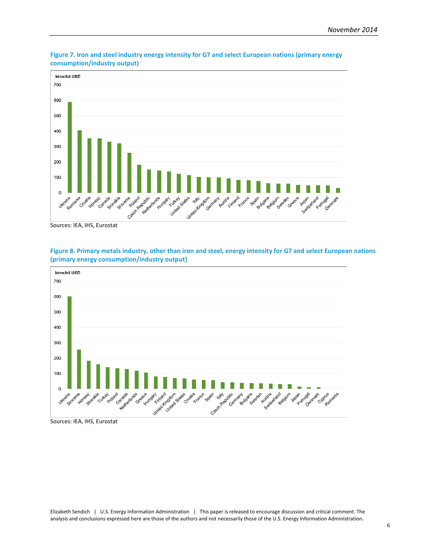

<span id="page-6-0"></span>**Figure 7. Iron and steel industry energy intensity for G7 and select European nations (primary energy consumption/industry output)**



<span id="page-6-1"></span>**Figure 8. Primary metals industry, other than iron and steel, energy intensity for G7 and select European nations (primary energy consumption/industry output)**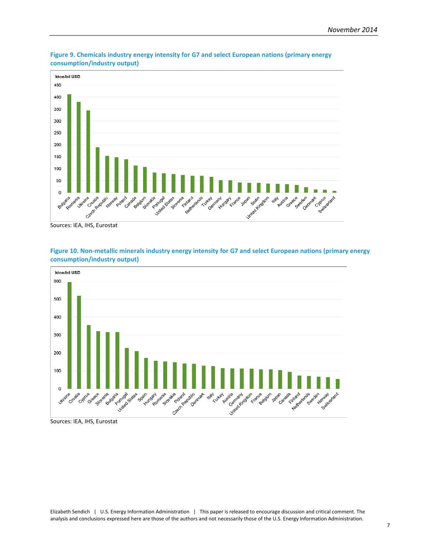

<span id="page-7-0"></span>**Figure 9. Chemicals industry energy intensity for G7 and select European nations (primary energy consumption/industry output)**



<span id="page-7-1"></span>**Figure 10. Non-metallic minerals industry energy intensity for G7 and select European nations (primary energy consumption/industry output)**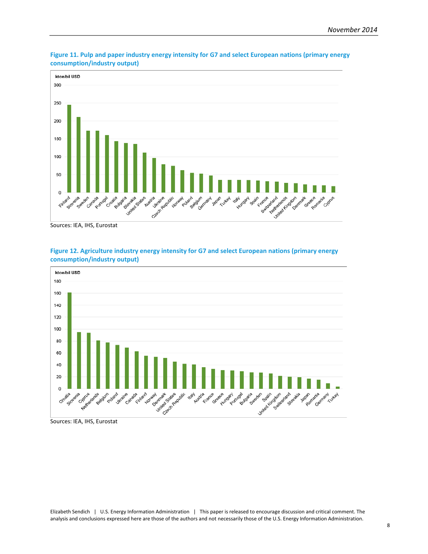

<span id="page-8-0"></span>**Figure 11. Pulp and paper industry energy intensity for G7 and select European nations (primary energy consumption/industry output)**



<span id="page-8-1"></span>**Figure 12. Agriculture industry energy intensity for G7 and select European nations (primary energy consumption/industry output)**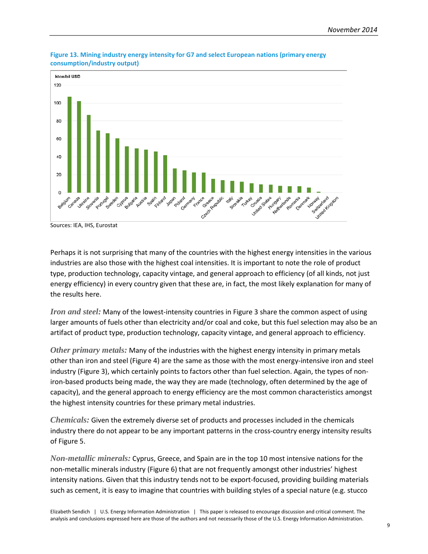

<span id="page-9-0"></span>**Figure 13. Mining industry energy intensity for G7 and select European nations (primary energy consumption/industry output)**

Perhaps it is not surprising that many of the countries with the highest energy intensities in the various industries are also those with the highest coal intensities. It is important to note the role of product type, production technology, capacity vintage, and general approach to efficiency (of all kinds, not just energy efficiency) in every country given that these are, in fact, the most likely explanation for many of the results here.

*Iron and steel:* Many of the lowest-intensity countries i[n Figure 3](#page-6-0) share the common aspect of using larger amounts of fuels other than electricity and/or coal and coke, but this fuel selection may also be an artifact of product type, production technology, capacity vintage, and general approach to efficiency.

*Other primary metals:* Many of the industries with the highest energy intensity in primary metals other than iron and steel [\(Figure 4\)](#page-6-1) are the same as those with the most energy-intensive iron and steel industry [\(Figure 3\)](#page-6-0), which certainly points to factors other than fuel selection. Again, the types of noniron-based products being made, the way they are made (technology, often determined by the age of capacity), and the general approach to energy efficiency are the most common characteristics amongst the highest intensity countries for these primary metal industries.

*Chemicals:* Given the extremely diverse set of products and processes included in the chemicals industry there do not appear to be any important patterns in the cross-country energy intensity results o[f Figure 5.](#page-7-0)

*Non-metallic minerals:* Cyprus, Greece, and Spain are in the top 10 most intensive nations for the non-metallic minerals industry [\(Figure 6\)](#page-7-1) that are not frequently amongst other industries' highest intensity nations. Given that this industry tends not to be export-focused, providing building materials such as cement, it is easy to imagine that countries with building styles of a special nature (e.g. stucco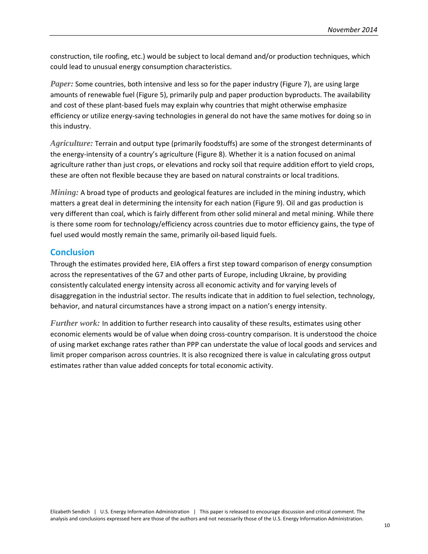construction, tile roofing, etc.) would be subject to local demand and/or production techniques, which could lead to unusual energy consumption characteristics.

*Paper:* Some countries, both intensive and less so for the paper industry [\(Figure 7\)](#page-8-0), are using large amounts of renewable fuel (Figure 5), primarily pulp and paper production byproducts. The availability and cost of these plant-based fuels may explain why countries that might otherwise emphasize efficiency or utilize energy-saving technologies in general do not have the same motives for doing so in this industry.

*Agriculture:* Terrain and output type (primarily foodstuffs) are some of the strongest determinants of the energy-intensity of a country's agriculture [\(Figure 8\)](#page-8-1). Whether it is a nation focused on animal agriculture rather than just crops, or elevations and rocky soil that require addition effort to yield crops, these are often not flexible because they are based on natural constraints or local traditions.

*Mining:* A broad type of products and geological features are included in the mining industry, which matters a great deal in determining the intensity for each nation [\(Figure 9\)](#page-9-0). Oil and gas production is very different than coal, which is fairly different from other solid mineral and metal mining. While there is there some room for technology/efficiency across countries due to motor efficiency gains, the type of fuel used would mostly remain the same, primarily oil-based liquid fuels.

## **Conclusion**

Through the estimates provided here, EIA offers a first step toward comparison of energy consumption across the representatives of the G7 and other parts of Europe, including Ukraine, by providing consistently calculated energy intensity across all economic activity and for varying levels of disaggregation in the industrial sector. The results indicate that in addition to fuel selection, technology, behavior, and natural circumstances have a strong impact on a nation's energy intensity.

*Further work:* In addition to further research into causality of these results, estimates using other economic elements would be of value when doing cross-country comparison. It is understood the choice of using market exchange rates rather than PPP can understate the value of local goods and services and limit proper comparison across countries. It is also recognized there is value in calculating gross output estimates rather than value added concepts for total economic activity.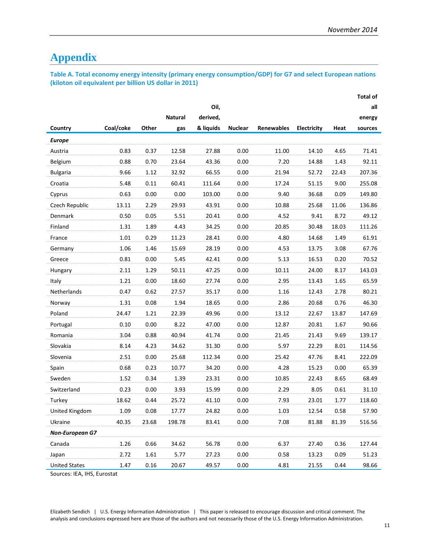# **Appendix**

**Table A. Total economy energy intensity (primary energy consumption/GDP) for G7 and select European nations (kiloton oil equivalent per billion US dollar in 2011)**

|                        |           |       |                |           |                |                   |             |       | <b>Total of</b> |
|------------------------|-----------|-------|----------------|-----------|----------------|-------------------|-------------|-------|-----------------|
|                        |           |       |                | Oil,      |                |                   |             |       | all             |
|                        |           |       | <b>Natural</b> | derived,  |                |                   |             |       | energy          |
| Country                | Coal/coke | Other | gas            | & liquids | <b>Nuclear</b> | <b>Renewables</b> | Electricity | Heat  | sources         |
| <b>Europe</b>          |           |       |                |           |                |                   |             |       |                 |
| Austria                | 0.83      | 0.37  | 12.58          | 27.88     | 0.00           | 11.00             | 14.10       | 4.65  | 71.41           |
| Belgium                | 0.88      | 0.70  | 23.64          | 43.36     | 0.00           | 7.20              | 14.88       | 1.43  | 92.11           |
| <b>Bulgaria</b>        | 9.66      | 1.12  | 32.92          | 66.55     | 0.00           | 21.94             | 52.72       | 22.43 | 207.36          |
| Croatia                | 5.48      | 0.11  | 60.41          | 111.64    | 0.00           | 17.24             | 51.15       | 9.00  | 255.08          |
| Cyprus                 | 0.63      | 0.00  | 0.00           | 103.00    | 0.00           | 9.40              | 36.68       | 0.09  | 149.80          |
| Czech Republic         | 13.11     | 2.29  | 29.93          | 43.91     | 0.00           | 10.88             | 25.68       | 11.06 | 136.86          |
| Denmark                | 0.50      | 0.05  | 5.51           | 20.41     | 0.00           | 4.52              | 9.41        | 8.72  | 49.12           |
| Finland                | 1.31      | 1.89  | 4.43           | 34.25     | 0.00           | 20.85             | 30.48       | 18.03 | 111.26          |
| France                 | 1.01      | 0.29  | 11.23          | 28.41     | 0.00           | 4.80              | 14.68       | 1.49  | 61.91           |
| Germany                | 1.06      | 1.46  | 15.69          | 28.19     | 0.00           | 4.53              | 13.75       | 3.08  | 67.76           |
| Greece                 | 0.81      | 0.00  | 5.45           | 42.41     | 0.00           | 5.13              | 16.53       | 0.20  | 70.52           |
| Hungary                | 2.11      | 1.29  | 50.11          | 47.25     | 0.00           | 10.11             | 24.00       | 8.17  | 143.03          |
| Italy                  | 1.21      | 0.00  | 18.60          | 27.74     | 0.00           | 2.95              | 13.43       | 1.65  | 65.59           |
| <b>Netherlands</b>     | 0.47      | 0.62  | 27.57          | 35.17     | 0.00           | 1.16              | 12.43       | 2.78  | 80.21           |
| Norway                 | 1.31      | 0.08  | 1.94           | 18.65     | 0.00           | 2.86              | 20.68       | 0.76  | 46.30           |
| Poland                 | 24.47     | 1.21  | 22.39          | 49.96     | 0.00           | 13.12             | 22.67       | 13.87 | 147.69          |
| Portugal               | 0.10      | 0.00  | 8.22           | 47.00     | 0.00           | 12.87             | 20.81       | 1.67  | 90.66           |
| Romania                | 3.04      | 0.88  | 40.94          | 41.74     | 0.00           | 21.45             | 21.43       | 9.69  | 139.17          |
| Slovakia               | 8.14      | 4.23  | 34.62          | 31.30     | 0.00           | 5.97              | 22.29       | 8.01  | 114.56          |
| Slovenia               | 2.51      | 0.00  | 25.68          | 112.34    | 0.00           | 25.42             | 47.76       | 8.41  | 222.09          |
| Spain                  | 0.68      | 0.23  | 10.77          | 34.20     | 0.00           | 4.28              | 15.23       | 0.00  | 65.39           |
| Sweden                 | 1.52      | 0.34  | 1.39           | 23.31     | 0.00           | 10.85             | 22.43       | 8.65  | 68.49           |
| Switzerland            | 0.23      | 0.00  | 3.93           | 15.99     | 0.00           | 2.29              | 8.05        | 0.61  | 31.10           |
| Turkey                 | 18.62     | 0.44  | 25.72          | 41.10     | 0.00           | 7.93              | 23.01       | 1.77  | 118.60          |
| United Kingdom         | 1.09      | 0.08  | 17.77          | 24.82     | 0.00           | 1.03              | 12.54       | 0.58  | 57.90           |
| Ukraine                | 40.35     | 23.68 | 198.78         | 83.41     | 0.00           | 7.08              | 81.88       | 81.39 | 516.56          |
| <b>Non-European G7</b> |           |       |                |           |                |                   |             |       |                 |
| Canada                 | 1.26      | 0.66  | 34.62          | 56.78     | 0.00           | 6.37              | 27.40       | 0.36  | 127.44          |
| Japan                  | 2.72      | 1.61  | 5.77           | 27.23     | 0.00           | 0.58              | 13.23       | 0.09  | 51.23           |
| <b>United States</b>   | 1.47      | 0.16  | 20.67          | 49.57     | 0.00           | 4.81              | 21.55       | 0.44  | 98.66           |

Sources: IEA, IHS, Eurostat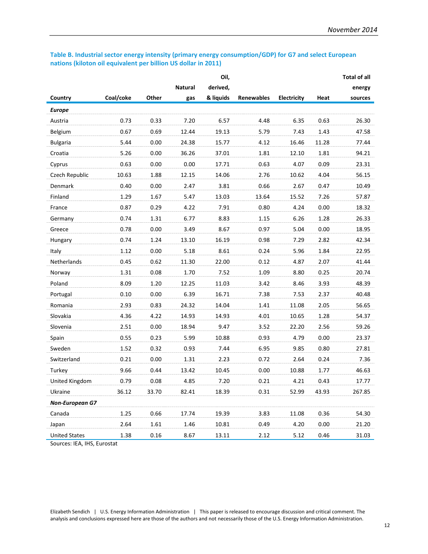#### **Table B. Industrial sector energy intensity (primary energy consumption/GDP) for G7 and select European nations (kiloton oil equivalent per billion US dollar in 2011)**

|                        |           |       |                | Oil,      |                   |                    |       | <b>Total of all</b> |
|------------------------|-----------|-------|----------------|-----------|-------------------|--------------------|-------|---------------------|
|                        |           |       | <b>Natural</b> | derived,  |                   |                    |       | energy              |
| Country                | Coal/coke | Other | gas            | & liquids | <b>Renewables</b> | <b>Electricity</b> | Heat  | sources             |
| <b>Europe</b>          |           |       |                |           |                   |                    |       |                     |
| Austria                | 0.73      | 0.33  | 7.20           | 6.57      | 4.48              | 6.35               | 0.63  | 26.30               |
| Belgium                | 0.67      | 0.69  | 12.44          | 19.13     | 5.79              | 7.43               | 1.43  | 47.58               |
| <b>Bulgaria</b>        | 5.44      | 0.00  | 24.38          | 15.77     | 4.12              | 16.46              | 11.28 | 77.44               |
| Croatia                | 5.26      | 0.00  | 36.26          | 37.01     | 1.81              | 12.10              | 1.81  | 94.21               |
| Cyprus                 | 0.63      | 0.00  | 0.00           | 17.71     | 0.63              | 4.07               | 0.09  | 23.31               |
| Czech Republic         | 10.63     | 1.88  | 12.15          | 14.06     | 2.76              | 10.62              | 4.04  | 56.15               |
| Denmark                | 0.40      | 0.00  | 2.47           | 3.81      | 0.66              | 2.67               | 0.47  | 10.49               |
| Finland                | 1.29      | 1.67  | 5.47           | 13.03     | 13.64             | 15.52              | 7.26  | 57.87               |
| France                 | 0.87      | 0.29  | 4.22           | 7.91      | 0.80              | 4.24               | 0.00  | 18.32               |
| Germany                | 0.74      | 1.31  | 6.77           | 8.83      | 1.15              | 6.26               | 1.28  | 26.33               |
| Greece                 | 0.78      | 0.00  | 3.49           | 8.67      | 0.97              | 5.04               | 0.00  | 18.95               |
| Hungary                | 0.74      | 1.24  | 13.10          | 16.19     | 0.98              | 7.29               | 2.82  | 42.34               |
| Italy                  | 1.12      | 0.00  | 5.18           | 8.61      | 0.24              | 5.96               | 1.84  | 22.95               |
| Netherlands            | 0.45      | 0.62  | 11.30          | 22.00     | 0.12              | 4.87               | 2.07  | 41.44               |
| Norway                 | 1.31      | 0.08  | 1.70           | 7.52      | 1.09              | 8.80               | 0.25  | 20.74               |
| Poland                 | 8.09      | 1.20  | 12.25          | 11.03     | 3.42              | 8.46               | 3.93  | 48.39               |
| Portugal               | 0.10      | 0.00  | 6.39           | 16.71     | 7.38              | 7.53               | 2.37  | 40.48               |
| Romania                | 2.93      | 0.83  | 24.32          | 14.04     | 1.41              | 11.08              | 2.05  | 56.65               |
| Slovakia               | 4.36      | 4.22  | 14.93          | 14.93     | 4.01              | 10.65              | 1.28  | 54.37               |
| Slovenia               | 2.51      | 0.00  | 18.94          | 9.47      | 3.52              | 22.20              | 2.56  | 59.26               |
| Spain                  | 0.55      | 0.23  | 5.99           | 10.88     | 0.93              | 4.79               | 0.00  | 23.37               |
| Sweden                 | 1.52      | 0.32  | 0.93           | 7.44      | 6.95              | 9.85               | 0.80  | 27.81               |
| Switzerland            | 0.21      | 0.00  | 1.31           | 2.23      | 0.72              | 2.64               | 0.24  | 7.36                |
| Turkey                 | 9.66      | 0.44  | 13.42          | 10.45     | 0.00              | 10.88              | 1.77  | 46.63               |
| United Kingdom         | 0.79      | 0.08  | 4.85           | 7.20      | 0.21              | 4.21               | 0.43  | 17.77               |
| Ukraine                | 36.12     | 33.70 | 82.41          | 18.39     | 0.31              | 52.99              | 43.93 | 267.85              |
| <b>Non-European G7</b> |           |       |                |           |                   |                    |       |                     |
| Canada                 | 1.25      | 0.66  | 17.74          | 19.39     | 3.83              | 11.08              | 0.36  | 54.30               |
| Japan                  | 2.64      | 1.61  | 1.46           | 10.81     | 0.49              | 4.20               | 0.00  | 21.20               |
| <b>United States</b>   | 1.38      | 0.16  | 8.67           | 13.11     | 2.12              | 5.12               | 0.46  | 31.03               |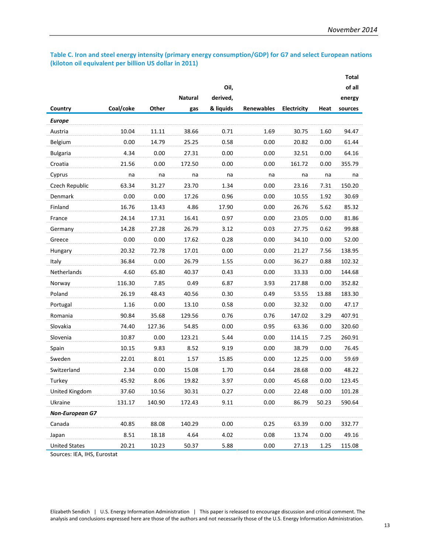#### **Table C. Iron and steel energy intensity (primary energy consumption/GDP) for G7 and select European nations (kiloton oil equivalent per billion US dollar in 2011)**

|                        |           |        |                |           |                   |             |       | <b>Total</b> |
|------------------------|-----------|--------|----------------|-----------|-------------------|-------------|-------|--------------|
|                        |           |        |                | Oil,      |                   |             |       | of all       |
|                        |           |        | <b>Natural</b> | derived,  |                   |             |       | energy       |
| Country                | Coal/coke | Other  | gas            | & liquids | <b>Renewables</b> | Electricity | Heat  | sources      |
| <b>Europe</b>          |           |        |                |           |                   |             |       |              |
| Austria                | 10.04     | 11.11  | 38.66          | 0.71      | 1.69              | 30.75       | 1.60  | 94.47        |
| Belgium                | 0.00      | 14.79  | 25.25          | 0.58      | 0.00              | 20.82       | 0.00  | 61.44        |
| <b>Bulgaria</b>        | 4.34      | 0.00   | 27.31          | 0.00      | 0.00              | 32.51       | 0.00  | 64.16        |
| Croatia                | 21.56     | 0.00   | 172.50         | 0.00      | 0.00              | 161.72      | 0.00  | 355.79       |
| Cyprus                 | na        | na     | na             | na        | na                | na          | na    | na           |
| Czech Republic         | 63.34     | 31.27  | 23.70          | 1.34      | 0.00              | 23.16       | 7.31  | 150.20       |
| Denmark                | 0.00      | 0.00   | 17.26          | 0.96      | 0.00              | 10.55       | 1.92  | 30.69        |
| Finland                | 16.76     | 13.43  | 4.86           | 17.90     | 0.00              | 26.76       | 5.62  | 85.32        |
| France                 | 24.14     | 17.31  | 16.41          | 0.97      | 0.00              | 23.05       | 0.00  | 81.86        |
| Germany                | 14.28     | 27.28  | 26.79          | 3.12      | 0.03              | 27.75       | 0.62  | 99.88        |
| Greece                 | 0.00      | 0.00   | 17.62          | 0.28      | 0.00              | 34.10       | 0.00  | 52.00        |
| Hungary                | 20.32     | 72.78  | 17.01          | 0.00      | 0.00              | 21.27       | 7.56  | 138.95       |
| Italy                  | 36.84     | 0.00   | 26.79          | 1.55      | 0.00              | 36.27       | 0.88  | 102.32       |
| Netherlands            | 4.60      | 65.80  | 40.37          | 0.43      | 0.00              | 33.33       | 0.00  | 144.68       |
| Norway                 | 116.30    | 7.85   | 0.49           | 6.87      | 3.93              | 217.88      | 0.00  | 352.82       |
| Poland                 | 26.19     | 48.43  | 40.56          | 0.30      | 0.49              | 53.55       | 13.88 | 183.30       |
| Portugal               | 1.16      | 0.00   | 13.10          | 0.58      | 0.00              | 32.32       | 0.00  | 47.17        |
| Romania                | 90.84     | 35.68  | 129.56         | 0.76      | 0.76              | 147.02      | 3.29  | 407.91       |
| Slovakia               | 74.40     | 127.36 | 54.85          | 0.00      | 0.95              | 63.36       | 0.00  | 320.60       |
| Slovenia               | 10.87     | 0.00   | 123.21         | 5.44      | 0.00              | 114.15      | 7.25  | 260.91       |
| Spain                  | 10.15     | 9.83   | 8.52           | 9.19      | 0.00              | 38.79       | 0.00  | 76.45        |
| Sweden                 | 22.01     | 8.01   | 1.57           | 15.85     | 0.00              | 12.25       | 0.00  | 59.69        |
| Switzerland            | 2.34      | 0.00   | 15.08          | 1.70      | 0.64              | 28.68       | 0.00  | 48.22        |
| Turkey                 | 45.92     | 8.06   | 19.82          | 3.97      | 0.00              | 45.68       | 0.00  | 123.45       |
| United Kingdom         | 37.60     | 10.56  | 30.31          | 0.27      | 0.00              | 22.48       | 0.00  | 101.28       |
| Ukraine                | 131.17    | 140.90 | 172.43         | 9.11      | 0.00              | 86.79       | 50.23 | 590.64       |
| <b>Non-European G7</b> |           |        |                |           |                   |             |       |              |
| Canada                 | 40.85     | 88.08  | 140.29         | 0.00      | 0.25              | 63.39       | 0.00  | 332.77       |
| Japan                  | 8.51      | 18.18  | 4.64           | 4.02      | 0.08              | 13.74       | 0.00  | 49.16        |
| <b>United States</b>   | 20.21     | 10.23  | 50.37          | 5.88      | 0.00              | 27.13       | 1.25  | 115.08       |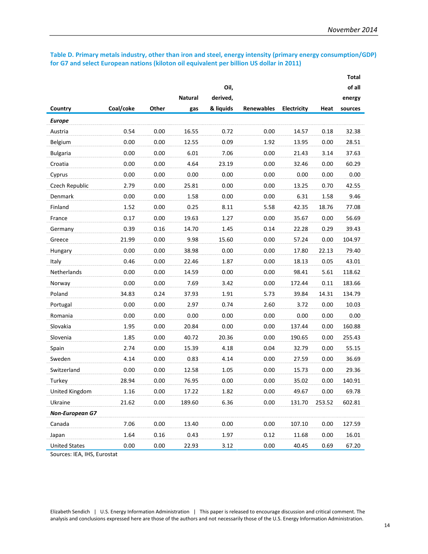#### **Table D. Primary metals industry, other than iron and steel, energy intensity (primary energy consumption/GDP) for G7 and select European nations (kiloton oil equivalent per billion US dollar in 2011)**

|                        |           |       |                |           |                   |             |        | <b>Total</b> |
|------------------------|-----------|-------|----------------|-----------|-------------------|-------------|--------|--------------|
|                        |           |       |                | Oil,      |                   |             |        | of all       |
|                        |           |       | <b>Natural</b> | derived,  |                   |             |        | energy       |
| Country                | Coal/coke | Other | gas            | & liquids | <b>Renewables</b> | Electricity | Heat   | sources      |
| <b>Europe</b>          |           |       |                |           |                   |             |        |              |
| Austria                | 0.54      | 0.00  | 16.55          | 0.72      | 0.00              | 14.57       | 0.18   | 32.38        |
| Belgium                | 0.00      | 0.00  | 12.55          | 0.09      | 1.92              | 13.95       | 0.00   | 28.51        |
| <b>Bulgaria</b>        | 0.00      | 0.00  | 6.01           | 7.06      | 0.00              | 21.43       | 3.14   | 37.63        |
| Croatia                | 0.00      | 0.00  | 4.64           | 23.19     | 0.00              | 32.46       | 0.00   | 60.29        |
| Cyprus                 | 0.00      | 0.00  | 0.00           | 0.00      | 0.00              | 0.00        | 0.00   | 0.00         |
| Czech Republic         | 2.79      | 0.00  | 25.81          | 0.00      | 0.00              | 13.25       | 0.70   | 42.55        |
| Denmark                | 0.00      | 0.00  | 1.58           | 0.00      | 0.00              | 6.31        | 1.58   | 9.46         |
| Finland                | 1.52      | 0.00  | 0.25           | 8.11      | 5.58              | 42.35       | 18.76  | 77.08        |
| France                 | 0.17      | 0.00  | 19.63          | 1.27      | 0.00              | 35.67       | 0.00   | 56.69        |
| Germany                | 0.39      | 0.16  | 14.70          | 1.45      | 0.14              | 22.28       | 0.29   | 39.43        |
| Greece                 | 21.99     | 0.00  | 9.98           | 15.60     | 0.00              | 57.24       | 0.00   | 104.97       |
| Hungary                | 0.00      | 0.00  | 38.98          | 0.00      | 0.00              | 17.80       | 22.13  | 79.40        |
| Italy                  | 0.46      | 0.00  | 22.46          | 1.87      | 0.00              | 18.13       | 0.05   | 43.01        |
| Netherlands            | 0.00      | 0.00  | 14.59          | 0.00      | 0.00              | 98.41       | 5.61   | 118.62       |
| Norway                 | 0.00      | 0.00  | 7.69           | 3.42      | 0.00              | 172.44      | 0.11   | 183.66       |
| Poland                 | 34.83     | 0.24  | 37.93          | 1.91      | 5.73              | 39.84       | 14.31  | 134.79       |
| Portugal               | 0.00      | 0.00  | 2.97           | 0.74      | 2.60              | 3.72        | 0.00   | 10.03        |
| Romania                | 0.00      | 0.00  | 0.00           | 0.00      | 0.00              | 0.00        | 0.00   | 0.00         |
| Slovakia               | 1.95      | 0.00  | 20.84          | 0.00      | 0.00              | 137.44      | 0.00   | 160.88       |
| Slovenia               | 1.85      | 0.00  | 40.72          | 20.36     | 0.00              | 190.65      | 0.00   | 255.43       |
| Spain                  | 2.74      | 0.00  | 15.39          | 4.18      | 0.04              | 32.79       | 0.00   | 55.15        |
| Sweden                 | 4.14      | 0.00  | 0.83           | 4.14      | 0.00              | 27.59       | 0.00   | 36.69        |
| Switzerland            | 0.00      | 0.00  | 12.58          | 1.05      | 0.00              | 15.73       | 0.00   | 29.36        |
| Turkey                 | 28.94     | 0.00  | 76.95          | 0.00      | 0.00              | 35.02       | 0.00   | 140.91       |
| United Kingdom         | 1.16      | 0.00  | 17.22          | 1.82      | 0.00              | 49.67       | 0.00   | 69.78        |
| Ukraine                | 21.62     | 0.00  | 189.60         | 6.36      | 0.00              | 131.70      | 253.52 | 602.81       |
| <b>Non-European G7</b> |           |       |                |           |                   |             |        |              |
| Canada                 | 7.06      | 0.00  | 13.40          | 0.00      | 0.00              | 107.10      | 0.00   | 127.59       |
| Japan                  | 1.64      | 0.16  | 0.43           | 1.97      | 0.12              | 11.68       | 0.00   | 16.01        |
| <b>United States</b>   | 0.00      | 0.00  | 22.93          | 3.12      | 0.00              | 40.45       | 0.69   | 67.20        |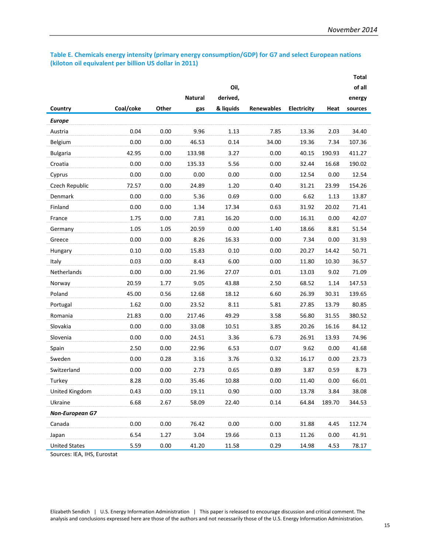#### **Table E. Chemicals energy intensity (primary energy consumption/GDP) for G7 and select European nations (kiloton oil equivalent per billion US dollar in 2011)**

|                        |           |       |                |           |                   |             |        | <b>Total</b> |
|------------------------|-----------|-------|----------------|-----------|-------------------|-------------|--------|--------------|
|                        |           |       |                | Oil,      |                   |             |        | of all       |
|                        |           |       | <b>Natural</b> | derived,  |                   |             |        | energy       |
| Country                | Coal/coke | Other | gas            | & liquids | <b>Renewables</b> | Electricity | Heat   | sources      |
| <b>Europe</b>          |           |       |                |           |                   |             |        |              |
| Austria                | 0.04      | 0.00  | 9.96           | 1.13      | 7.85              | 13.36       | 2.03   | 34.40        |
| Belgium                | 0.00      | 0.00  | 46.53          | 0.14      | 34.00             | 19.36       | 7.34   | 107.36       |
| <b>Bulgaria</b>        | 42.95     | 0.00  | 133.98         | 3.27      | 0.00              | 40.15       | 190.93 | 411.27       |
| Croatia                | 0.00      | 0.00  | 135.33         | 5.56      | 0.00              | 32.44       | 16.68  | 190.02       |
| Cyprus                 | 0.00      | 0.00  | 0.00           | 0.00      | 0.00              | 12.54       | 0.00   | 12.54        |
| Czech Republic         | 72.57     | 0.00  | 24.89          | 1.20      | 0.40              | 31.21       | 23.99  | 154.26       |
| Denmark                | 0.00      | 0.00  | 5.36           | 0.69      | 0.00              | 6.62        | 1.13   | 13.87        |
| Finland                | 0.00      | 0.00  | 1.34           | 17.34     | 0.63              | 31.92       | 20.02  | 71.41        |
| France                 | 1.75      | 0.00  | 7.81           | 16.20     | 0.00              | 16.31       | 0.00   | 42.07        |
| Germany                | 1.05      | 1.05  | 20.59          | 0.00      | 1.40              | 18.66       | 8.81   | 51.54        |
| Greece                 | 0.00      | 0.00  | 8.26           | 16.33     | 0.00              | 7.34        | 0.00   | 31.93        |
| Hungary                | 0.10      | 0.00  | 15.83          | 0.10      | 0.00              | 20.27       | 14.42  | 50.71        |
| Italy                  | 0.03      | 0.00  | 8.43           | 6.00      | 0.00              | 11.80       | 10.30  | 36.57        |
| Netherlands            | 0.00      | 0.00  | 21.96          | 27.07     | 0.01              | 13.03       | 9.02   | 71.09        |
| Norway                 | 20.59     | 1.77  | 9.05           | 43.88     | 2.50              | 68.52       | 1.14   | 147.53       |
| Poland                 | 45.00     | 0.56  | 12.68          | 18.12     | 6.60              | 26.39       | 30.31  | 139.65       |
| Portugal               | 1.62      | 0.00  | 23.52          | 8.11      | 5.81              | 27.85       | 13.79  | 80.85        |
| Romania                | 21.83     | 0.00  | 217.46         | 49.29     | 3.58              | 56.80       | 31.55  | 380.52       |
| Slovakia               | 0.00      | 0.00  | 33.08          | 10.51     | 3.85              | 20.26       | 16.16  | 84.12        |
| Slovenia               | 0.00      | 0.00  | 24.51          | 3.36      | 6.73              | 26.91       | 13.93  | 74.96        |
| Spain                  | 2.50      | 0.00  | 22.96          | 6.53      | 0.07              | 9.62        | 0.00   | 41.68        |
| Sweden                 | 0.00      | 0.28  | 3.16           | 3.76      | 0.32              | 16.17       | 0.00   | 23.73        |
| Switzerland            | 0.00      | 0.00  | 2.73           | 0.65      | 0.89              | 3.87        | 0.59   | 8.73         |
| Turkey                 | 8.28      | 0.00  | 35.46          | 10.88     | 0.00              | 11.40       | 0.00   | 66.01        |
| United Kingdom         | 0.43      | 0.00  | 19.11          | 0.90      | 0.00              | 13.78       | 3.84   | 38.08        |
| Ukraine                | 6.68      | 2.67  | 58.09          | 22.40     | 0.14              | 64.84       | 189.70 | 344.53       |
| <b>Non-European G7</b> |           |       |                |           |                   |             |        |              |
| Canada                 | 0.00      | 0.00  | 76.42          | 0.00      | 0.00              | 31.88       | 4.45   | 112.74       |
| Japan                  | 6.54      | 1.27  | 3.04           | 19.66     | 0.13              | 11.26       | 0.00   | 41.91        |
| <b>United States</b>   | 5.59      | 0.00  | 41.20          | 11.58     | 0.29              | 14.98       | 4.53   | 78.17        |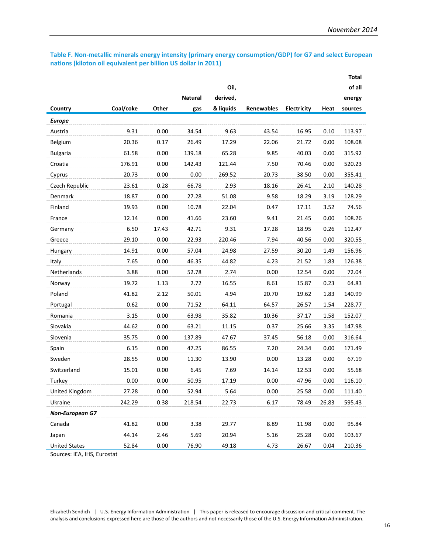#### **Table F. Non-metallic minerals energy intensity (primary energy consumption/GDP) for G7 and select European nations (kiloton oil equivalent per billion US dollar in 2011)**

|                        |           |       |                |           |                   |             |       | <b>Total</b> |
|------------------------|-----------|-------|----------------|-----------|-------------------|-------------|-------|--------------|
|                        |           |       |                | Oil,      |                   |             |       | of all       |
|                        |           |       | <b>Natural</b> | derived,  |                   |             |       | energy       |
| Country                | Coal/coke | Other | gas            | & liquids | <b>Renewables</b> | Electricity | Heat  | sources      |
| <b>Europe</b>          |           |       |                |           |                   |             |       |              |
| Austria                | 9.31      | 0.00  | 34.54          | 9.63      | 43.54             | 16.95       | 0.10  | 113.97       |
| Belgium                | 20.36     | 0.17  | 26.49          | 17.29     | 22.06             | 21.72       | 0.00  | 108.08       |
| <b>Bulgaria</b>        | 61.58     | 0.00  | 139.18         | 65.28     | 9.85              | 40.03       | 0.00  | 315.92       |
| Croatia                | 176.91    | 0.00  | 142.43         | 121.44    | 7.50              | 70.46       | 0.00  | 520.23       |
| Cyprus                 | 20.73     | 0.00  | 0.00           | 269.52    | 20.73             | 38.50       | 0.00  | 355.41       |
| Czech Republic         | 23.61     | 0.28  | 66.78          | 2.93      | 18.16             | 26.41       | 2.10  | 140.28       |
| Denmark                | 18.87     | 0.00  | 27.28          | 51.08     | 9.58              | 18.29       | 3.19  | 128.29       |
| Finland                | 19.93     | 0.00  | 10.78          | 22.04     | 0.47              | 17.11       | 3.52  | 74.56        |
| France                 | 12.14     | 0.00  | 41.66          | 23.60     | 9.41              | 21.45       | 0.00  | 108.26       |
| Germany                | 6.50      | 17.43 | 42.71          | 9.31      | 17.28             | 18.95       | 0.26  | 112.47       |
| Greece                 | 29.10     | 0.00  | 22.93          | 220.46    | 7.94              | 40.56       | 0.00  | 320.55       |
| Hungary                | 14.91     | 0.00  | 57.04          | 24.98     | 27.59             | 30.20       | 1.49  | 156.96       |
| Italy                  | 7.65      | 0.00  | 46.35          | 44.82     | 4.23              | 21.52       | 1.83  | 126.38       |
| Netherlands            | 3.88      | 0.00  | 52.78          | 2.74      | 0.00              | 12.54       | 0.00  | 72.04        |
| Norway                 | 19.72     | 1.13  | 2.72           | 16.55     | 8.61              | 15.87       | 0.23  | 64.83        |
| Poland                 | 41.82     | 2.12  | 50.01          | 4.94      | 20.70             | 19.62       | 1.83  | 140.99       |
| Portugal               | 0.62      | 0.00  | 71.52          | 64.11     | 64.57             | 26.57       | 1.54  | 228.77       |
| Romania                | 3.15      | 0.00  | 63.98          | 35.82     | 10.36             | 37.17       | 1.58  | 152.07       |
| Slovakia               | 44.62     | 0.00  | 63.21          | 11.15     | 0.37              | 25.66       | 3.35  | 147.98       |
| Slovenia               | 35.75     | 0.00  | 137.89         | 47.67     | 37.45             | 56.18       | 0.00  | 316.64       |
| Spain                  | 6.15      | 0.00  | 47.25          | 86.55     | 7.20              | 24.34       | 0.00  | 171.49       |
| Sweden                 | 28.55     | 0.00  | 11.30          | 13.90     | 0.00              | 13.28       | 0.00  | 67.19        |
| Switzerland            | 15.01     | 0.00  | 6.45           | 7.69      | 14.14             | 12.53       | 0.00  | 55.68        |
| Turkey                 | 0.00      | 0.00  | 50.95          | 17.19     | 0.00              | 47.96       | 0.00  | 116.10       |
| United Kingdom         | 27.28     | 0.00  | 52.94          | 5.64      | 0.00              | 25.58       | 0.00  | 111.40       |
| Ukraine                | 242.29    | 0.38  | 218.54         | 22.73     | 6.17              | 78.49       | 26.83 | 595.43       |
| <b>Non-European G7</b> |           |       |                |           |                   |             |       |              |
| Canada                 | 41.82     | 0.00  | 3.38           | 29.77     | 8.89              | 11.98       | 0.00  | 95.84        |
| Japan                  | 44.14     | 2.46  | 5.69           | 20.94     | 5.16              | 25.28       | 0.00  | 103.67       |
| <b>United States</b>   | 52.84     | 0.00  | 76.90          | 49.18     | 4.73              | 26.67       | 0.04  | 210.36       |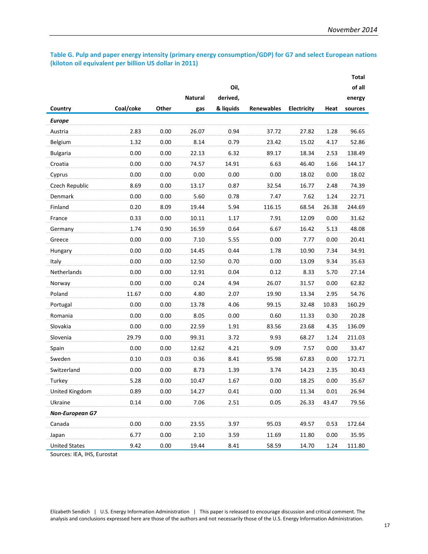#### **Table G. Pulp and paper energy intensity (primary energy consumption/GDP) for G7 and select European nations (kiloton oil equivalent per billion US dollar in 2011)**

|                             |           |       |                |           |                   |             |       | <b>Total</b> |
|-----------------------------|-----------|-------|----------------|-----------|-------------------|-------------|-------|--------------|
|                             |           |       |                | Oil,      |                   |             |       | of all       |
|                             |           |       | <b>Natural</b> | derived,  |                   |             |       | energy       |
| Country                     | Coal/coke | Other | gas            | & liquids | <b>Renewables</b> | Electricity | Heat  | sources      |
| <b>Europe</b>               |           |       |                |           |                   |             |       |              |
| Austria                     | 2.83      | 0.00  | 26.07          | 0.94      | 37.72             | 27.82       | 1.28  | 96.65        |
| Belgium                     | 1.32      | 0.00  | 8.14           | 0.79      | 23.42             | 15.02       | 4.17  | 52.86        |
| <b>Bulgaria</b>             | 0.00      | 0.00  | 22.13          | 6.32      | 89.17             | 18.34       | 2.53  | 138.49       |
| Croatia                     | 0.00      | 0.00  | 74.57          | 14.91     | 6.63              | 46.40       | 1.66  | 144.17       |
| Cyprus                      | 0.00      | 0.00  | 0.00           | 0.00      | 0.00              | 18.02       | 0.00  | 18.02        |
| Czech Republic              | 8.69      | 0.00  | 13.17          | 0.87      | 32.54             | 16.77       | 2.48  | 74.39        |
| Denmark                     | 0.00      | 0.00  | 5.60           | 0.78      | 7.47              | 7.62        | 1.24  | 22.71        |
| Finland                     | 0.20      | 8.09  | 19.44          | 5.94      | 116.15            | 68.54       | 26.38 | 244.69       |
| France                      | 0.33      | 0.00  | 10.11          | 1.17      | 7.91              | 12.09       | 0.00  | 31.62        |
| Germany                     | 1.74      | 0.90  | 16.59          | 0.64      | 6.67              | 16.42       | 5.13  | 48.08        |
| Greece                      | 0.00      | 0.00  | 7.10           | 5.55      | 0.00              | 7.77        | 0.00  | 20.41        |
| Hungary                     | 0.00      | 0.00  | 14.45          | 0.44      | 1.78              | 10.90       | 7.34  | 34.91        |
| Italy                       | 0.00      | 0.00  | 12.50          | 0.70      | 0.00              | 13.09       | 9.34  | 35.63        |
| Netherlands                 | 0.00      | 0.00  | 12.91          | 0.04      | 0.12              | 8.33        | 5.70  | 27.14        |
| Norway                      | 0.00      | 0.00  | 0.24           | 4.94      | 26.07             | 31.57       | 0.00  | 62.82        |
| Poland                      | 11.67     | 0.00  | 4.80           | 2.07      | 19.90             | 13.34       | 2.95  | 54.76        |
| Portugal                    | 0.00      | 0.00  | 13.78          | 4.06      | 99.15             | 32.48       | 10.83 | 160.29       |
| Romania                     | 0.00      | 0.00  | 8.05           | 0.00      | 0.60              | 11.33       | 0.30  | 20.28        |
| Slovakia                    | 0.00      | 0.00  | 22.59          | 1.91      | 83.56             | 23.68       | 4.35  | 136.09       |
| Slovenia                    | 29.79     | 0.00  | 99.31          | 3.72      | 9.93              | 68.27       | 1.24  | 211.03       |
| Spain                       | 0.00      | 0.00  | 12.62          | 4.21      | 9.09              | 7.57        | 0.00  | 33.47        |
| Sweden                      | 0.10      | 0.03  | 0.36           | 8.41      | 95.98             | 67.83       | 0.00  | 172.71       |
| Switzerland                 | 0.00      | 0.00  | 8.73           | 1.39      | 3.74              | 14.23       | 2.35  | 30.43        |
| Turkey                      | 5.28      | 0.00  | 10.47          | 1.67      | 0.00              | 18.25       | 0.00  | 35.67        |
| United Kingdom              | 0.89      | 0.00  | 14.27          | 0.41      | 0.00              | 11.34       | 0.01  | 26.94        |
| Ukraine                     | 0.14      | 0.00  | 7.06           | 2.51      | 0.05              | 26.33       | 43.47 | 79.56        |
| <b>Non-European G7</b>      |           |       |                |           |                   |             |       |              |
| Canada                      | 0.00      | 0.00  | 23.55          | 3.97      | 95.03             | 49.57       | 0.53  | 172.64       |
| Japan                       | 6.77      | 0.00  | 2.10           | 3.59      | 11.69             | 11.80       | 0.00  | 35.95        |
| <b>United States</b>        | 9.42      | 0.00  | 19.44          | 8.41      | 58.59             | 14.70       | 1.24  | 111.80       |
| Sources: IEA, IHS, Eurostat |           |       |                |           |                   |             |       |              |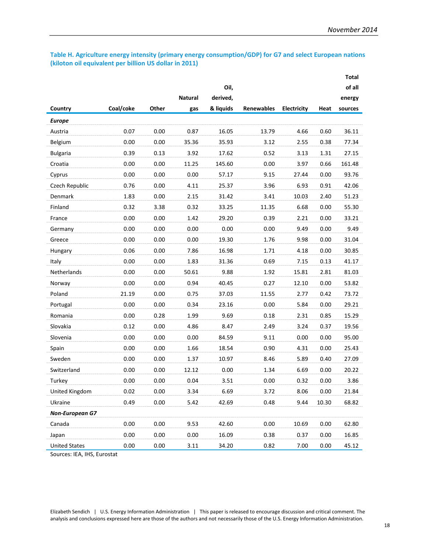#### **Table H. Agriculture energy intensity (primary energy consumption/GDP) for G7 and select European nations (kiloton oil equivalent per billion US dollar in 2011)**

|                        |           |       |                |           |                   |             |       | <b>Total</b> |
|------------------------|-----------|-------|----------------|-----------|-------------------|-------------|-------|--------------|
|                        |           |       |                | Oil,      |                   |             |       | of all       |
|                        |           |       | <b>Natural</b> | derived,  |                   |             |       | energy       |
| Country                | Coal/coke | Other | gas            | & liquids | <b>Renewables</b> | Electricity | Heat  | sources      |
| <b>Europe</b>          |           |       |                |           |                   |             |       |              |
| Austria                | 0.07      | 0.00  | 0.87           | 16.05     | 13.79             | 4.66        | 0.60  | 36.11        |
| Belgium                | 0.00      | 0.00  | 35.36          | 35.93     | 3.12              | 2.55        | 0.38  | 77.34        |
| <b>Bulgaria</b>        | 0.39      | 0.13  | 3.92           | 17.62     | 0.52              | 3.13        | 1.31  | 27.15        |
| Croatia                | 0.00      | 0.00  | 11.25          | 145.60    | 0.00              | 3.97        | 0.66  | 161.48       |
| Cyprus                 | 0.00      | 0.00  | 0.00           | 57.17     | 9.15              | 27.44       | 0.00  | 93.76        |
| Czech Republic         | 0.76      | 0.00  | 4.11           | 25.37     | 3.96              | 6.93        | 0.91  | 42.06        |
| Denmark                | 1.83      | 0.00  | 2.15           | 31.42     | 3.41              | 10.03       | 2.40  | 51.23        |
| Finland                | 0.32      | 3.38  | 0.32           | 33.25     | 11.35             | 6.68        | 0.00  | 55.30        |
| France                 | 0.00      | 0.00  | 1.42           | 29.20     | 0.39              | 2.21        | 0.00  | 33.21        |
| Germany                | 0.00      | 0.00  | 0.00           | 0.00      | 0.00              | 9.49        | 0.00  | 9.49         |
| Greece                 | 0.00      | 0.00  | 0.00           | 19.30     | 1.76              | 9.98        | 0.00  | 31.04        |
| Hungary                | 0.06      | 0.00  | 7.86           | 16.98     | 1.71              | 4.18        | 0.00  | 30.85        |
| Italy                  | 0.00      | 0.00  | 1.83           | 31.36     | 0.69              | 7.15        | 0.13  | 41.17        |
| Netherlands            | 0.00      | 0.00  | 50.61          | 9.88      | 1.92              | 15.81       | 2.81  | 81.03        |
| Norway                 | 0.00      | 0.00  | 0.94           | 40.45     | 0.27              | 12.10       | 0.00  | 53.82        |
| Poland                 | 21.19     | 0.00  | 0.75           | 37.03     | 11.55             | 2.77        | 0.42  | 73.72        |
| Portugal               | 0.00      | 0.00  | 0.34           | 23.16     | 0.00              | 5.84        | 0.00  | 29.21        |
| Romania                | 0.00      | 0.28  | 1.99           | 9.69      | 0.18              | 2.31        | 0.85  | 15.29        |
| Slovakia               | 0.12      | 0.00  | 4.86           | 8.47      | 2.49              | 3.24        | 0.37  | 19.56        |
| Slovenia               | 0.00      | 0.00  | 0.00           | 84.59     | 9.11              | 0.00        | 0.00  | 95.00        |
| Spain                  | 0.00      | 0.00  | 1.66           | 18.54     | 0.90              | 4.31        | 0.00  | 25.43        |
| Sweden                 | 0.00      | 0.00  | 1.37           | 10.97     | 8.46              | 5.89        | 0.40  | 27.09        |
| Switzerland            | 0.00      | 0.00  | 12.12          | 0.00      | 1.34              | 6.69        | 0.00  | 20.22        |
| Turkey                 | 0.00      | 0.00  | 0.04           | 3.51      | 0.00              | 0.32        | 0.00  | 3.86         |
| United Kingdom         | 0.02      | 0.00  | 3.34           | 6.69      | 3.72              | 8.06        | 0.00  | 21.84        |
| Ukraine                | 0.49      | 0.00  | 5.42           | 42.69     | 0.48              | 9.44        | 10.30 | 68.82        |
| <b>Non-European G7</b> |           |       |                |           |                   |             |       |              |
| Canada                 | 0.00      | 0.00  | 9.53           | 42.60     | 0.00              | 10.69       | 0.00  | 62.80        |
| Japan                  | 0.00      | 0.00  | 0.00           | 16.09     | 0.38              | 0.37        | 0.00  | 16.85        |
| <b>United States</b>   | 0.00      | 0.00  | 3.11           | 34.20     | 0.82              | 7.00        | 0.00  | 45.12        |